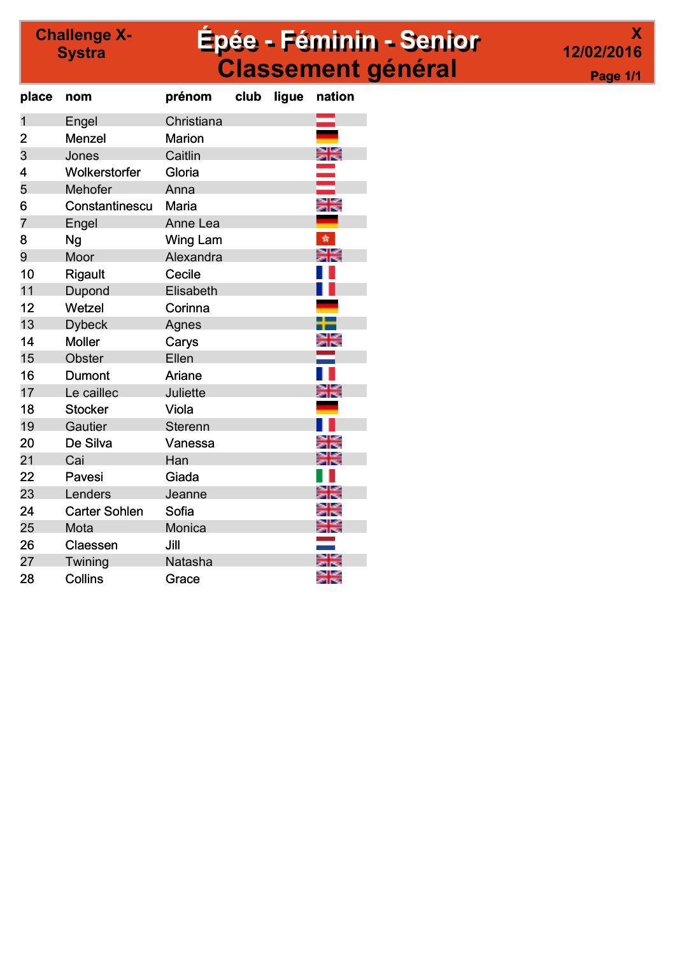### <sup>allenge x-</sup> **Epée - Féminin - Senior** Classement général

|                 | X |
|-----------------|---|
| 12/02/2016      |   |
| <b>Page 1/1</b> |   |

| place          | nom                  | prénom          | club | ligue | nation |
|----------------|----------------------|-----------------|------|-------|--------|
| $\overline{1}$ | Engel                | Christiana      |      |       |        |
| 2              | Menzel               | <b>Marion</b>   |      |       |        |
| 3              | Jones                | Caitlin         |      |       |        |
| 4              | Wolkerstorfer        | Gloria          |      |       |        |
| 5              | Mehofer              | Anna            |      |       |        |
| 6              | Constantinescu       | Maria           |      |       |        |
| 7              | Engel                | Anne Lea        |      |       |        |
| 8              | Ng                   | <b>Wing Lam</b> |      |       | ÷      |
| 9              | Moor                 | Alexandra       |      |       |        |
| 10             | Rigault              | Cecile          |      |       |        |
| 11             | Dupond               | Elisabeth       |      |       |        |
| 12             | Wetzel               | Corinna         |      |       |        |
| 13             | <b>Dybeck</b>        | Agnes           |      |       |        |
| 14             | <b>Moller</b>        | Carys           |      |       |        |
| 15             | Obster               | Ellen           |      |       |        |
| 16             | Dumont               | Ariane          |      |       |        |
| 17             | Le caillec           | Juliette        |      |       |        |
| 18             | <b>Stocker</b>       | Viola           |      |       |        |
| 19             | Gautier              | <b>Sterenn</b>  |      |       |        |
| 20             | De Silva             | Vanessa         |      |       |        |
| 21             | Cai                  | Han             |      |       |        |
| 22             | Pavesi               | Giada           |      |       |        |
| 23             | Lenders              | Jeanne          |      |       |        |
| 24             | <b>Carter Sohlen</b> | Sofia           |      |       |        |
| 25             | Mota                 | Monica          |      |       |        |
| 26             | Claessen             | Jill            |      |       |        |
| 27             | Twining              | Natasha         |      |       |        |
| 28             | Collins              | Grace           |      |       |        |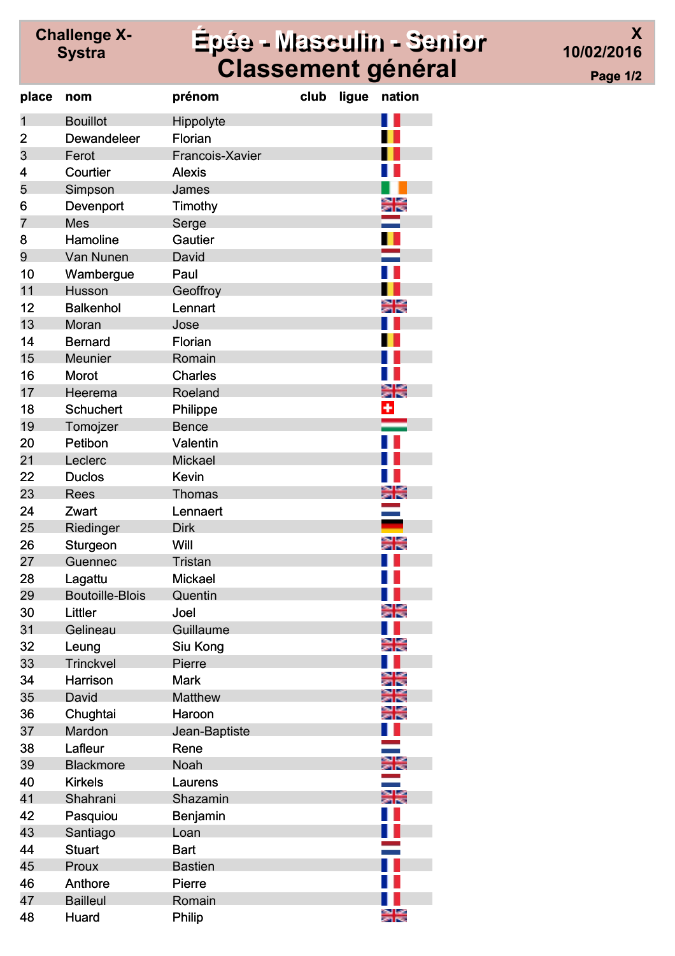# Challenge X-

### Systra Épée - Masculin - Senior Classement général

X 10/02/2016 Page 1/2

| place          | nom                    | prénom          | club | ligue | nation            |
|----------------|------------------------|-----------------|------|-------|-------------------|
| $\mathbf{1}$   | <b>Bouillot</b>        | Hippolyte       |      |       |                   |
| $\overline{2}$ | Dewandeleer            | Florian         |      |       |                   |
| 3              | Ferot                  | Francois-Xavier |      |       |                   |
| 4              | Courtier               | <b>Alexis</b>   |      |       |                   |
| 5              | Simpson                | James           |      |       |                   |
| 6              | Devenport              | Timothy         |      |       | en Leo<br>Se les  |
| 7              | <b>Mes</b>             | Serge           |      |       |                   |
| 8              | Hamoline               | Gautier         |      |       |                   |
| 9              | Van Nunen              | David           |      |       |                   |
| 10             | Wambergue              | Paul            |      |       |                   |
| 11             | Husson                 | Geoffroy        |      |       |                   |
| 12             | <b>Balkenhol</b>       | Lennart         |      |       | an bar<br>An Dao  |
| 13             | Moran                  | Jose            |      |       |                   |
| 14             | <b>Bernard</b>         | Florian         |      |       |                   |
| 15             | Meunier                | Romain          |      |       |                   |
| 16             | <b>Morot</b>           | <b>Charles</b>  |      |       |                   |
| 17             | Heerema                | Roeland         |      |       | an Las<br>2010an  |
| 18             | <b>Schuchert</b>       | Philippe        |      |       | ٠                 |
| 19             | Tomojzer               | <b>Bence</b>    |      |       |                   |
| 20             | Petibon                | Valentin        |      |       |                   |
| 21             | Leclerc                | <b>Mickael</b>  |      |       |                   |
| 22             | <b>Duclos</b>          | <b>Kevin</b>    |      |       |                   |
| 23             | <b>Rees</b>            | <b>Thomas</b>   |      |       |                   |
| 24             | Zwart                  | Lennaert        |      |       |                   |
| 25             | Riedinger              | <b>Dirk</b>     |      |       |                   |
| 26             | Sturgeon               | Will            |      |       |                   |
| 27             | Guennec                | <b>Tristan</b>  |      |       |                   |
| 28             | Lagattu                | <b>Mickael</b>  |      |       |                   |
| 29             | <b>Boutoille-Blois</b> | Quentin         |      |       |                   |
| 30             | Littler                | Joel            |      |       | es las<br>Series: |
| 31             | Gelineau               | Guillaume       |      |       |                   |
| 32             | Leung                  | Siu Kong        |      |       |                   |
| 33             | <b>Trinckvel</b>       | Pierre          |      |       |                   |
| 34             | <b>Harrison</b>        | <b>Mark</b>     |      |       |                   |
| 35             | David                  | <b>Matthew</b>  |      |       |                   |
| 36             | Chughtai               | Haroon          |      |       |                   |
| 37             | Mardon                 | Jean-Baptiste   |      |       |                   |
| 38             | Lafleur                | Rene            |      |       |                   |
| 39             | <b>Blackmore</b>       | <b>Noah</b>     |      |       |                   |
| 40             | <b>Kirkels</b>         | Laurens         |      |       |                   |
| 41             | Shahrani               | Shazamin        |      |       | NU LAY<br>Ani Per |
| 42             | Pasquiou               |                 |      |       |                   |
| 43             |                        | Benjamin        |      |       |                   |
|                | Santiago               | Loan            |      |       |                   |
| 44             | <b>Stuart</b>          | <b>Bart</b>     |      |       |                   |
| 45             | Proux                  | <b>Bastien</b>  |      |       |                   |
| 46             | Anthore                | Pierre          |      |       |                   |
| 47             | <b>Bailleul</b>        | Romain          |      |       |                   |
| 48             | Huard                  | Philip          |      |       |                   |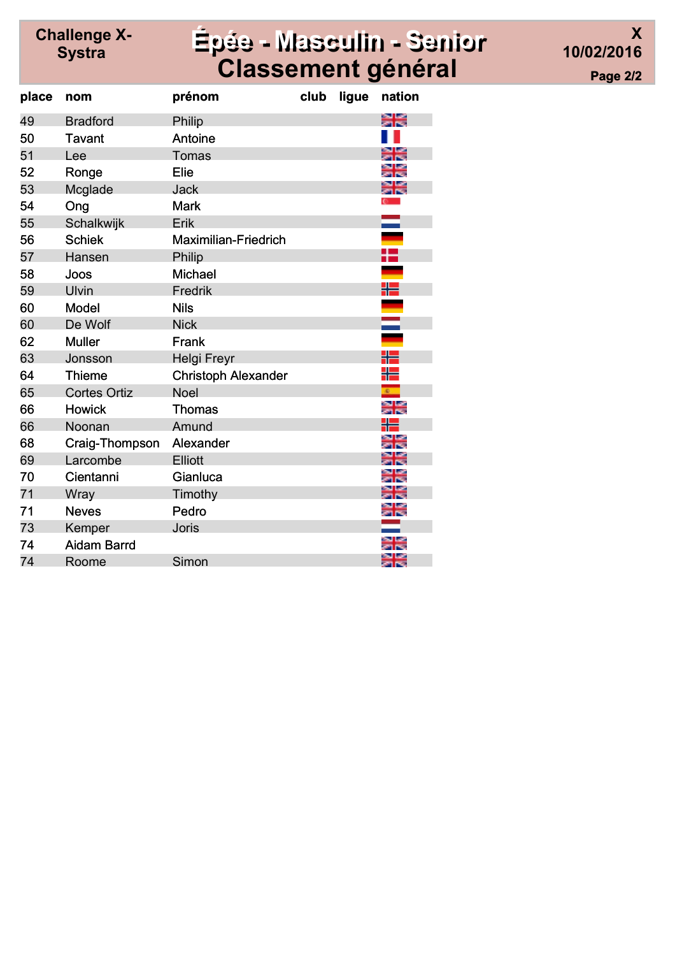# Challenge X-

#### Systra Épée - Masculin - Senior Classement général

X 10/02/2016 Page 2/2

| place | nom                 | prénom                      | club | ligue | nation           |
|-------|---------------------|-----------------------------|------|-------|------------------|
| 49    | <b>Bradford</b>     | Philip                      |      |       | XX               |
| 50    | <b>Tavant</b>       | Antoine                     |      |       |                  |
| 51    | Lee                 | Tomas                       |      |       |                  |
| 52    | Ronge               | Elie                        |      |       |                  |
| 53    | Mcglade             | <b>Jack</b>                 |      |       | 치적               |
| 54    | Ong                 | <b>Mark</b>                 |      |       |                  |
| 55    | Schalkwijk          | Erik                        |      |       |                  |
| 56    | <b>Schiek</b>       | <b>Maximilian-Friedrich</b> |      |       |                  |
| 57    | Hansen              | Philip                      |      |       |                  |
| 58    | Joos                | <b>Michael</b>              |      |       |                  |
| 59    | Ulvin               | Fredrik                     |      |       | ╬                |
| 60    | Model               | <b>Nils</b>                 |      |       |                  |
| 60    | De Wolf             | <b>Nick</b>                 |      |       | Ξ                |
| 62    | <b>Muller</b>       | Frank                       |      |       |                  |
| 63    | Jonsson             | <b>Helgi Freyr</b>          |      |       | ╬                |
| 64    | <b>Thieme</b>       | <b>Christoph Alexander</b>  |      |       | ╬                |
| 65    | <b>Cortes Ortiz</b> | <b>Noel</b>                 |      |       | e.               |
| 66    | <b>Howick</b>       | <b>Thomas</b>               |      |       | en les<br>2010es |
| 66    | Noonan              | Amund                       |      |       |                  |
| 68    | Craig-Thompson      | Alexander                   |      |       |                  |
| 69    | Larcombe            | Elliott                     |      |       |                  |
| 70    | Cientanni           | Gianluca                    |      |       |                  |
| 71    | Wray                | Timothy                     |      |       | as Lac<br>an Ma  |
| 71    | <b>Neves</b>        | Pedro                       |      |       |                  |
| 73    | Kemper              | <b>Joris</b>                |      |       |                  |
| 74    | <b>Aidam Barrd</b>  |                             |      |       |                  |
| 74    | Roome               | Simon                       |      |       | an Las<br>2010ea |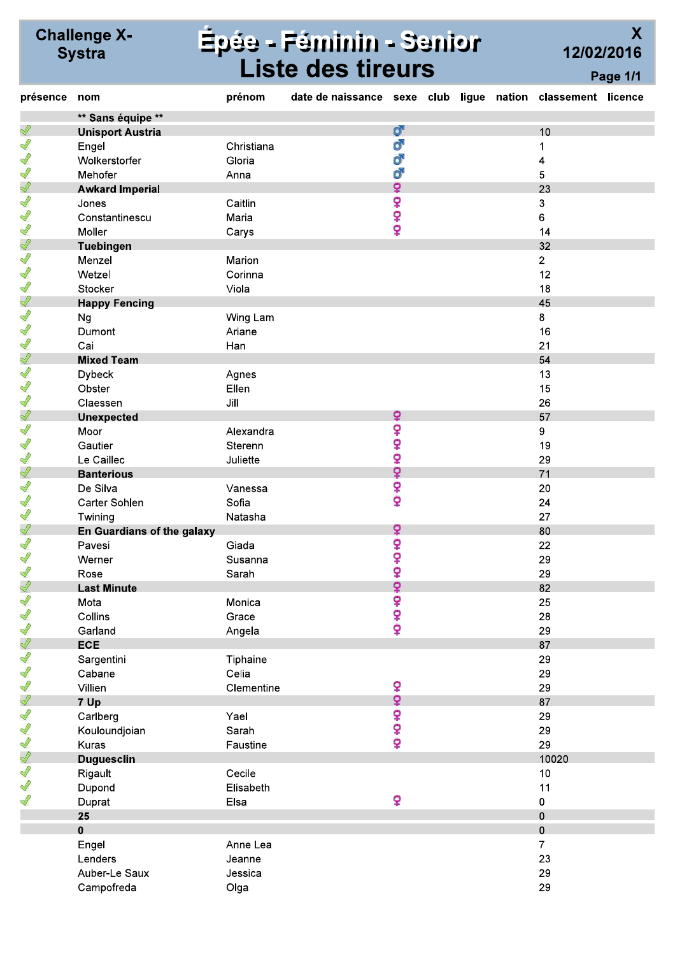# Épée - Féminin - Senior<br>Liste des tireurs

 $\overline{\mathsf{X}}$ 12/02/2016 Page 1/1

| présence      | nom                        | prénom     | date de naissance sexe club ligue nation classement licence |      |  |                |  |
|---------------|----------------------------|------------|-------------------------------------------------------------|------|--|----------------|--|
|               | ** Sans équipe **          |            |                                                             |      |  |                |  |
| Ï             | <b>Unisport Austria</b>    |            |                                                             | ď    |  | 10             |  |
| S             | Engel                      | Christiana |                                                             | ď    |  | 1              |  |
| Ĭ             | Wolkerstorfer              | Gloria     |                                                             | ď    |  | 4              |  |
| S             | Mehofer                    | Anna       |                                                             | Ò,   |  | 5              |  |
| Ï             | <b>Awkard Imperial</b>     |            |                                                             | ò    |  | 23             |  |
| S             | Jones                      | Caitlin    |                                                             | ò    |  | 3              |  |
| Ĭ             | Constantinescu             | Maria      |                                                             | ç    |  | 6              |  |
| S             | Moller                     | Carys      |                                                             | ò    |  | 14             |  |
| Ï             | Tuebingen                  |            |                                                             |      |  | 32             |  |
| $\mathscr{Q}$ | Menzel                     | Marion     |                                                             |      |  | $\overline{2}$ |  |
| $\mathscr{Q}$ | Wetzel                     | Corinna    |                                                             |      |  | 12             |  |
| S             | Stocker                    | Viola      |                                                             |      |  | 18             |  |
| Ï             | <b>Happy Fencing</b>       |            |                                                             |      |  | 45             |  |
| S             | Ng                         | Wing Lam   |                                                             |      |  | 8              |  |
| $\mathscr{Q}$ | Dumont                     | Ariane     |                                                             |      |  | 16             |  |
| S             | Cai                        | Han        |                                                             |      |  | 21             |  |
| Ï             | <b>Mixed Team</b>          |            |                                                             |      |  | 54             |  |
| $\mathscr{Q}$ | <b>Dybeck</b>              | Agnes      |                                                             |      |  | 13             |  |
| S             | Obster                     | Ellen      |                                                             |      |  | 15             |  |
| S             | Claessen                   | Jill       |                                                             |      |  | 26             |  |
| Ï             | <b>Unexpected</b>          |            |                                                             | Ŷ    |  | 57             |  |
| S             | Moor                       | Alexandra  |                                                             | Ş    |  | 9              |  |
| S             | Gautier                    | Sterenn    |                                                             | ò    |  | 19             |  |
| S             | Le Caillec                 | Juliette   |                                                             | ò    |  | 29             |  |
| Ï             | <b>Banterious</b>          |            |                                                             | ò    |  | 71             |  |
| S             | De Silva                   | Vanessa    |                                                             | ç    |  | 20             |  |
| S             | Carter Sohlen              | Sofia      |                                                             | ò    |  | 24             |  |
| S             | Twining                    | Natasha    |                                                             |      |  | 27             |  |
| Ï             | En Guardians of the galaxy |            |                                                             | ò    |  | 80             |  |
| S             | Pavesi                     | Giada      |                                                             | ò    |  | 22             |  |
| S             | Werner                     | Susanna    |                                                             | ¥    |  | 29             |  |
| $\mathscr{Q}$ | Rose                       | Sarah      |                                                             | ò    |  | 29             |  |
| Ï             | <b>Last Minute</b>         |            |                                                             | ò    |  | 82             |  |
| Î             | Mota                       | Monica     |                                                             |      |  | 25             |  |
| $\mathscr{Q}$ | Collins                    | Grace      |                                                             | o+o+ |  | 28             |  |
| $\mathscr{Q}$ | Garland                    | Angela     |                                                             | ò    |  | 29             |  |
| $\mathscr{Q}$ | <b>ECE</b>                 |            |                                                             |      |  | 87             |  |
| $\mathscr{Q}$ | Sargentini                 | Tiphaine   |                                                             |      |  | 29             |  |
| S             | Cabane                     | Celia      |                                                             |      |  | 29             |  |
| S             | Villien                    | Clementine |                                                             | ò    |  | 29             |  |
| Ï             | 7 Up                       |            |                                                             | ò    |  | 87             |  |
| $\mathscr{Q}$ | Carlberg                   | Yael       |                                                             |      |  | 29             |  |
| $\mathscr{Q}$ | Kouloundjoian              | Sarah      |                                                             | o+o+ |  | 29             |  |
| $\mathscr{Q}$ | Kuras                      | Faustine   |                                                             | ò    |  | 29             |  |
| Ï             | <b>Duguesclin</b>          |            |                                                             |      |  | 10020          |  |
| Î             | Rigault                    | Cecile     |                                                             |      |  | 10             |  |
| S             | Dupond                     | Elisabeth  |                                                             |      |  | 11             |  |
| S             | Duprat                     | Elsa       |                                                             | ò    |  | 0              |  |
|               | 25                         |            |                                                             |      |  | 0              |  |
|               | $\mathbf 0$                |            |                                                             |      |  | $\mathbf 0$    |  |
|               | Engel                      | Anne Lea   |                                                             |      |  | $\overline{7}$ |  |
|               | Lenders                    | Jeanne     |                                                             |      |  | 23             |  |
|               | Auber-Le Saux              | Jessica    |                                                             |      |  | 29             |  |
|               | Campofreda                 | Olga       |                                                             |      |  | 29             |  |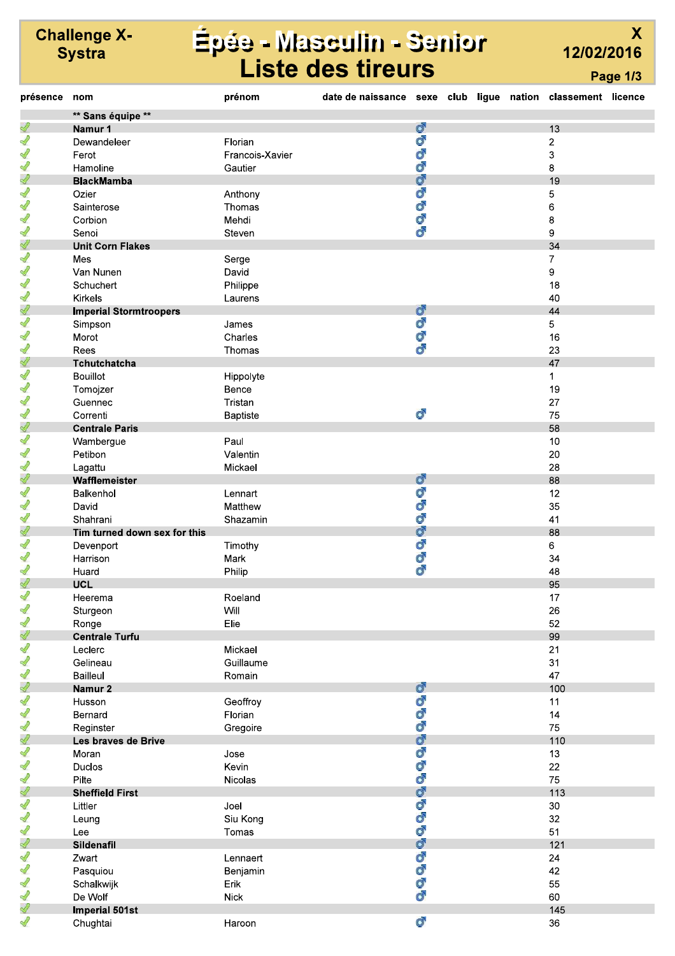# Épée - Masculin - Senior<br>Liste des tireurs

 $\overline{\mathsf{X}}$ 12/02/2016 Page 1/3

| présence      | nom                           | prénom          | date de naissance sexe club ligue nation classement licence |               |  |        |  |
|---------------|-------------------------------|-----------------|-------------------------------------------------------------|---------------|--|--------|--|
|               | ** Sans équipe **             |                 |                                                             |               |  |        |  |
| Î             | Namur 1                       |                 |                                                             | ď             |  | 13     |  |
| 1             | Dewandeleer                   | Florian         |                                                             | ď             |  | 2      |  |
| 1             | Ferot                         | Francois-Xavier |                                                             | ď             |  | 3      |  |
| $\mathscr{Q}$ | Hamoline                      | Gautier         |                                                             | ď             |  | 8      |  |
| Ï             | <b>BlackMamba</b>             |                 |                                                             | ď             |  | 19     |  |
| 1             | Ozier                         | Anthony         |                                                             | ď             |  | 5      |  |
| $\mathscr{Q}$ | Sainterose                    | Thomas          |                                                             | ď             |  | 6      |  |
| 1             |                               |                 |                                                             | ď             |  |        |  |
|               | Corbion                       | Mehdi           |                                                             | ď             |  | 8      |  |
| 1             | Senoi                         | Steven          |                                                             |               |  | 9      |  |
| Í             | <b>Unit Corn Flakes</b>       |                 |                                                             |               |  | 34     |  |
| 1             | Mes                           | Serge           |                                                             |               |  | 7      |  |
| 1             | Van Nunen                     | David           |                                                             |               |  | 9      |  |
| ∥             | Schuchert                     | Philippe        |                                                             |               |  | 18     |  |
| 1             | Kirkels                       | Laurens         |                                                             |               |  | 40     |  |
| Ï             | <b>Imperial Stormtroopers</b> |                 |                                                             | ď             |  | 44     |  |
| 1             | Simpson                       | James           |                                                             | ď             |  | 5      |  |
| 1             | Morot                         | Charles         |                                                             | ď             |  | 16     |  |
| 1             | Rees                          | Thomas          |                                                             | ්             |  | 23     |  |
| Î             | Tchutchatcha                  |                 |                                                             |               |  | 47     |  |
| 1             | <b>Bouillot</b>               | Hippolyte       |                                                             |               |  | 1      |  |
| 1             | Tomojzer                      | Bence           |                                                             |               |  | 19     |  |
| $\mathscr{Q}$ | Guennec                       | Tristan         |                                                             |               |  | 27     |  |
| 1             |                               |                 |                                                             | ď             |  |        |  |
|               | Correnti                      | Baptiste        |                                                             |               |  | 75     |  |
| Ï             | <b>Centrale Paris</b>         |                 |                                                             |               |  | 58     |  |
| 1             | Wambergue                     | Paul            |                                                             |               |  | 10     |  |
| 1             | Petibon                       | Valentin        |                                                             |               |  | 20     |  |
| 1             | Lagattu                       | Mickael         |                                                             |               |  | 28     |  |
| Î             | Wafflemeister                 |                 |                                                             | ď             |  | 88     |  |
| 1             | Balkenhol                     | Lennart         |                                                             | Ō             |  | 12     |  |
| 1             | David                         | Matthew         |                                                             | ď             |  | 35     |  |
| $\mathscr{Q}$ | Shahrani                      | Shazamin        |                                                             | ď             |  | 41     |  |
| Ï             | Tim turned down sex for this  |                 |                                                             | ď             |  | 88     |  |
| 1             | Devenport                     | Timothy         |                                                             | ď             |  | 6      |  |
| Í             | Harrison                      | Mark            |                                                             | Õ             |  | 34     |  |
| 1             | Huard                         | Philip          |                                                             | ď             |  | 48     |  |
| Ï             | <b>UCL</b>                    |                 |                                                             |               |  | 95     |  |
| ∥             | Heerema                       | Roeland         |                                                             |               |  | 17     |  |
| $\mathscr{Q}$ | Sturgeon                      | Will            |                                                             |               |  | 26     |  |
| 1             | Ronge                         | Elie            |                                                             |               |  | 52     |  |
| Í             |                               |                 |                                                             |               |  |        |  |
|               | <b>Centrale Turfu</b>         |                 |                                                             |               |  | 99     |  |
| 1             | Leclerc                       | Mickael         |                                                             |               |  | 21     |  |
| 1             | Gelineau                      | Guillaume       |                                                             |               |  | 31     |  |
| Í             | <b>Bailleul</b>               | Romain          |                                                             |               |  | 47     |  |
| Ï             | Namur 2                       |                 |                                                             | ď             |  | 100    |  |
| 1             | Husson                        | Geoffroy        |                                                             | ď             |  | 11     |  |
| $\mathscr{Q}$ | Bernard                       | Florian         |                                                             | ď             |  | 14     |  |
| 1             | Reginster                     | Gregoire        |                                                             | ď             |  | 75     |  |
| Ï             | Les braves de Brive           |                 |                                                             | ď             |  | 110    |  |
| ∥             | Moran                         | Jose            |                                                             | ď             |  | 13     |  |
| 1             | Duclos                        | Kevin           |                                                             | ď             |  | 22     |  |
| 1             | Pilte                         | Nicolas         |                                                             | ď             |  | 75     |  |
| Í             | <b>Sheffield First</b>        |                 |                                                             | ď             |  | 113    |  |
| 1             | Littler                       | Joel            |                                                             | ď             |  | $30\,$ |  |
| 1             |                               | Siu Kong        |                                                             | ď             |  | 32     |  |
| $\mathscr{Q}$ | Leung                         |                 |                                                             | ď             |  |        |  |
|               | Lee                           | Tomas           |                                                             |               |  | 51     |  |
| Ï             | Sildenafil                    |                 |                                                             | ď             |  | 121    |  |
| 1             | Zwart                         | Lennaert        |                                                             | ď             |  | 24     |  |
| $\mathscr{Q}$ | Pasquiou                      | Benjamin        |                                                             | ď             |  | 42     |  |
| 1             | Schalkwijk                    | Erik            |                                                             | $\mathcal{O}$ |  | 55     |  |
| 1             | De Wolf                       | <b>Nick</b>     |                                                             | ď             |  | 60     |  |
| Î             | <b>Imperial 501st</b>         |                 |                                                             |               |  | 145    |  |
| 1             | Chughtai                      | Haroon          |                                                             | ď             |  | 36     |  |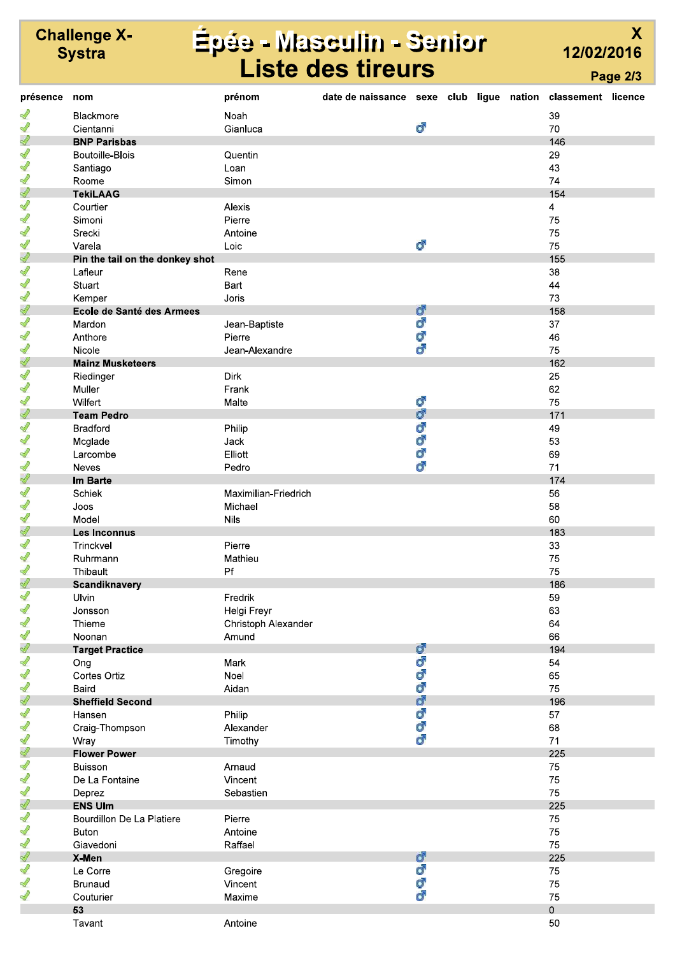# Épée - Masculin - Senior<br>Liste des tireurs

12/02/2016

Page 2/3

 $\overline{\mathsf{X}}$ 

| présence      | nom                             | prénom               | date de naissance sexe club ligue nation classement licence |    |  |              |  |
|---------------|---------------------------------|----------------------|-------------------------------------------------------------|----|--|--------------|--|
| S             | <b>Blackmore</b>                | Noah                 |                                                             |    |  | 39           |  |
| ∥             | Cientanni                       | Gianluca             |                                                             | ď  |  | 70           |  |
| Ï             | <b>BNP Parisbas</b>             |                      |                                                             |    |  | 146          |  |
| 1             | <b>Boutoille-Blois</b>          | Quentin              |                                                             |    |  | 29           |  |
| $\mathscr{Q}$ | Santiago                        | Loan                 |                                                             |    |  | 43           |  |
| 1             | Roome                           | Simon                |                                                             |    |  | 74           |  |
| Ï             | <b>TekiLAAG</b>                 |                      |                                                             |    |  | 154          |  |
| Í             | Courtier                        | Alexis               |                                                             |    |  | 4            |  |
| 1             | Simoni                          | Pierre               |                                                             |    |  | 75           |  |
| 1             | Srecki                          | Antoine              |                                                             |    |  | 75           |  |
| ∥             | Varela                          | Loic                 |                                                             | ೆ  |  | 75           |  |
| Ï             |                                 |                      |                                                             |    |  | 155          |  |
| 1             | Pin the tail on the donkey shot |                      |                                                             |    |  |              |  |
| ∜             | Lafleur                         | Rene                 |                                                             |    |  | 38           |  |
| 1             | Stuart                          | Bart                 |                                                             |    |  | 44           |  |
| Ï             | Kemper                          | Joris                |                                                             | ď  |  | 73           |  |
|               | Ecole de Santé des Armees       |                      |                                                             |    |  | 158          |  |
| 1             | Mardon                          | Jean-Baptiste        |                                                             | o" |  | 37           |  |
| 1             | Anthore                         | Pierre               |                                                             | Ò, |  | 46           |  |
| 1             | Nicole                          | Jean-Alexandre       |                                                             | ď  |  | 75           |  |
| Í             | <b>Mainz Musketeers</b>         |                      |                                                             |    |  | 162          |  |
| 1             | Riedinger                       | Dirk                 |                                                             |    |  | 25           |  |
| 1             | Muller                          | Frank                |                                                             |    |  | 62           |  |
| ∜             | Wilfert                         | Malte                |                                                             | ď  |  | 75           |  |
| Ï             | <b>Team Pedro</b>               |                      |                                                             | ď  |  | 171          |  |
| 1             | <b>Bradford</b>                 | Philip               |                                                             | ď  |  | 49           |  |
| $\mathscr{Q}$ | Mcglade                         | Jack                 |                                                             | ď  |  | 53           |  |
| 1             | Larcombe                        | Elliott              |                                                             | o" |  | 69           |  |
| 1             | <b>Neves</b>                    | Pedro                |                                                             | ď  |  | 71           |  |
| ℐ             | Im Barte                        |                      |                                                             |    |  | 174          |  |
| 1             | Schiek                          | Maximilian-Friedrich |                                                             |    |  | 56           |  |
| 1             | Joos                            | Michael              |                                                             |    |  | 58           |  |
| 1             | Model                           | <b>Nils</b>          |                                                             |    |  | 60           |  |
| Ï             | Les Inconnus                    |                      |                                                             |    |  | 183          |  |
| 1             | Trinckvel                       | Pierre               |                                                             |    |  | 33           |  |
| Í             | Ruhrmann                        | Mathieu              |                                                             |    |  | 75           |  |
| 1             | Thibault                        | Pf                   |                                                             |    |  | 75           |  |
| S             | Scandiknavery                   |                      |                                                             |    |  | 186          |  |
| $\mathscr{Q}$ | Ulvin                           | Fredrik              |                                                             |    |  | 59           |  |
| 1             | Jonsson                         | Helgi Freyr          |                                                             |    |  | 63           |  |
| J             | Thieme                          | Christoph Alexander  |                                                             |    |  | 64           |  |
| 1             | Noonan                          | Amund                |                                                             |    |  | 66           |  |
| Ï             | <b>Target Practice</b>          |                      |                                                             | ď  |  | 194          |  |
| 1             | Ong                             | Mark                 |                                                             | ď  |  | 54           |  |
| Í             | Cortes Ortiz                    | Noel                 |                                                             | ď  |  | 65           |  |
| 1             | Baird                           | Aidan                |                                                             | o" |  | 75           |  |
| Ï             | <b>Sheffield Second</b>         |                      |                                                             | ď  |  | 196          |  |
| $\mathscr{Q}$ | Hansen                          | Philip               |                                                             | ď  |  | 57           |  |
| 1             | Craig-Thompson                  | Alexander            |                                                             | ď  |  | 68           |  |
| 1             | Wray                            | Timothy              |                                                             | ď  |  | 71           |  |
| Í             | <b>Flower Power</b>             |                      |                                                             |    |  | 225          |  |
| 1             | <b>Buisson</b>                  | Arnaud               |                                                             |    |  | 75           |  |
| 1             | De La Fontaine                  | Vincent              |                                                             |    |  | $75\,$       |  |
| 1             | Deprez                          | Sebastien            |                                                             |    |  | 75           |  |
| Ï             | <b>ENS Ulm</b>                  |                      |                                                             |    |  | 225          |  |
| 1             | Bourdillon De La Platiere       | Pierre               |                                                             |    |  | 75           |  |
| $\mathscr{Q}$ | <b>Buton</b>                    | Antoine              |                                                             |    |  | 75           |  |
| 1             | Giavedoni                       | Raffael              |                                                             |    |  | 75           |  |
| Ï             |                                 |                      |                                                             | ď  |  | 225          |  |
| $\mathscr{Q}$ | X-Men                           |                      |                                                             | ď  |  |              |  |
| 1             | Le Corre                        | Gregoire             |                                                             | ď  |  | 75           |  |
| 1             | <b>Brunaud</b>                  | Vincent              |                                                             | ď  |  | 75           |  |
|               | Couturier                       | Maxime               |                                                             |    |  | 75           |  |
|               | 53                              |                      |                                                             |    |  | $\mathsf{O}$ |  |
|               | Tavant                          | Antoine              |                                                             |    |  | 50           |  |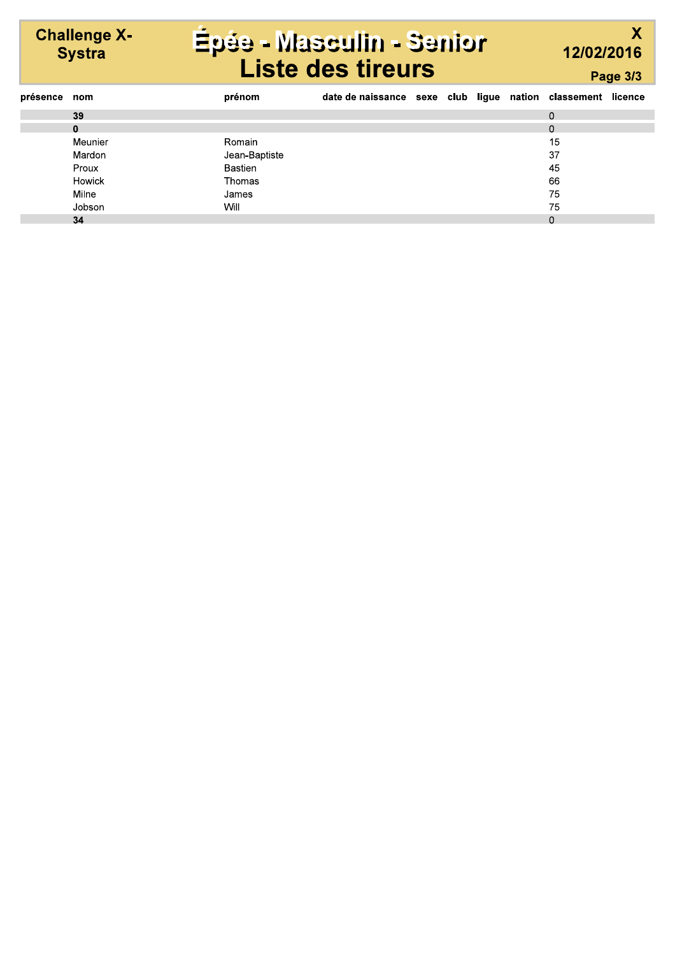# Épée - Masculin - Senior<br>Liste des tireurs

**Challenge X-<br>Systra** 

 $\overline{\mathsf{X}}$ 12/02/2016 Page 3/3

| présence nom |              | prénom        | date de naissance sexe club ligue nation classement licence |  |  |          |  |
|--------------|--------------|---------------|-------------------------------------------------------------|--|--|----------|--|
|              | 39           |               |                                                             |  |  | $\Omega$ |  |
|              | $\mathbf{0}$ |               |                                                             |  |  | 0        |  |
|              | Meunier      | Romain        |                                                             |  |  | 15       |  |
|              | Mardon       | Jean-Baptiste |                                                             |  |  | 37       |  |
|              | Proux        | Bastien       |                                                             |  |  | 45       |  |
|              | Howick       | Thomas        |                                                             |  |  | 66       |  |
|              | Milne        | James         |                                                             |  |  | 75       |  |
|              | Jobson       | Will          |                                                             |  |  | 75       |  |
|              | 34           |               |                                                             |  |  | 0        |  |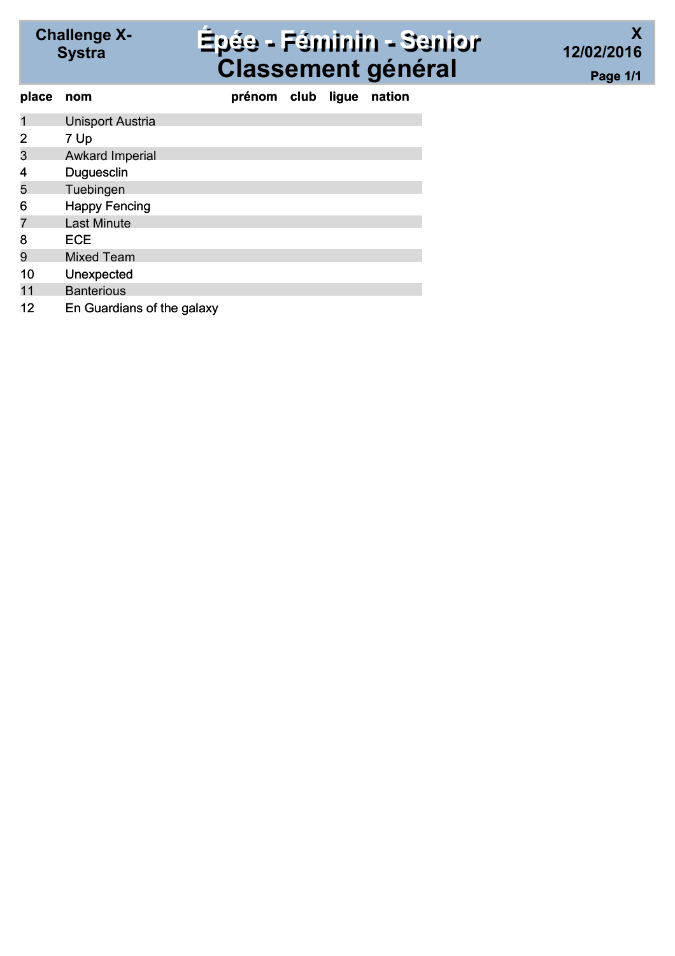#### Systra Épée - Féminin - Senior Classement général

| place          | nom                        | prénom club ligue |  | nation |
|----------------|----------------------------|-------------------|--|--------|
| 1              | <b>Unisport Austria</b>    |                   |  |        |
| $\overline{2}$ | 7 Up                       |                   |  |        |
| 3              | <b>Awkard Imperial</b>     |                   |  |        |
| 4              | Duguesclin                 |                   |  |        |
| 5              | Tuebingen                  |                   |  |        |
| 6              | <b>Happy Fencing</b>       |                   |  |        |
|                | <b>Last Minute</b>         |                   |  |        |
| 8              | <b>ECE</b>                 |                   |  |        |
| 9              | <b>Mixed Team</b>          |                   |  |        |
| 10             | Unexpected                 |                   |  |        |
| 11             | <b>Banterious</b>          |                   |  |        |
| 12             | En Guardians of the galaxy |                   |  |        |